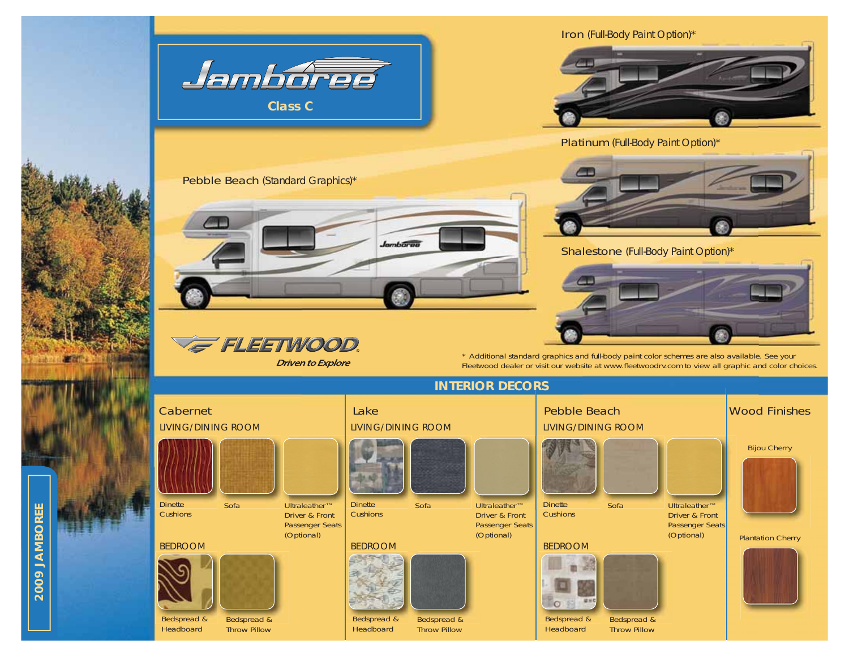

2009 JAMBOREE **2009 JAMBOREE**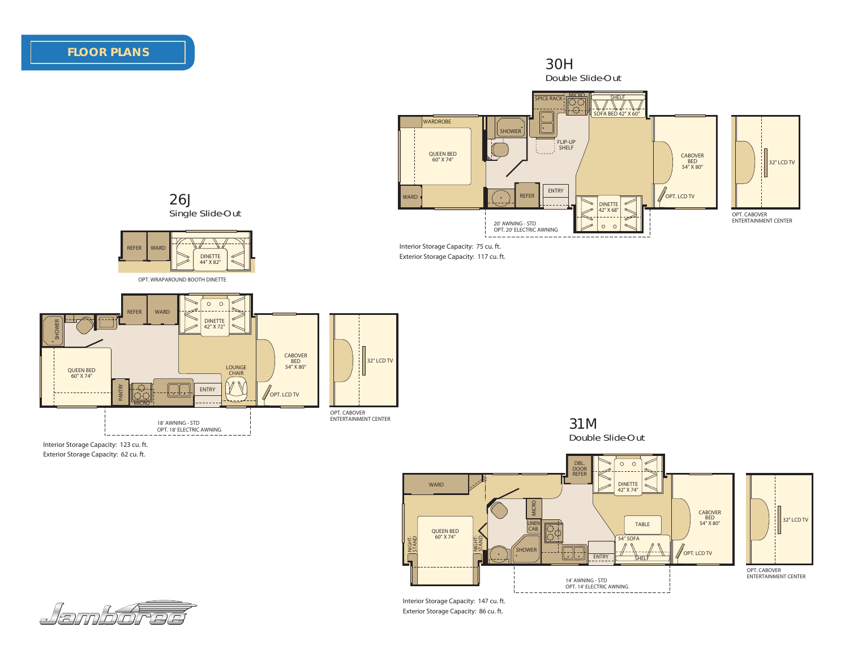# **FLOOR PLANS**



OPT. CABOVER ENTERTAINMENT CENTER

Interior Storage Capacity: 147 cu. ft. Exterior Storage Capacity: 86 cu. ft.

. د د دا

14' AWNING - STD OPT. 14' ELECTRIC AWNING

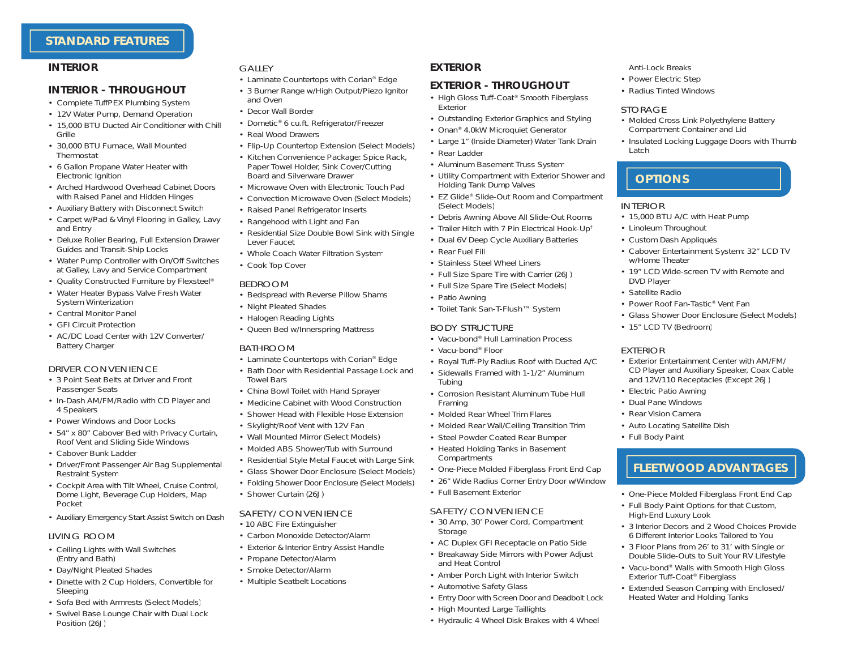## **STANDARD FEATURES**

## *INTERIOR*

#### **INTERIOR - THROUGHOUT**

- Complete TuffPEX Plumbing System
- 12V Water Pump, Demand Operation
- 15,000 BTU Ducted Air Conditioner with Chill Grille
- 30,000 BTU Furnace, Wall MountedThermostat
- 6 Gallon Propane Water Heater with Electronic Ignition
- Arched Hardwood Overhead Cabinet Doors with Raised Panel and Hidden Hinges
- Auxiliary Battery with Disconnect Switch
- Carpet w/Pad & Vinyl Flooring in Galley, Lavy and Entry
- Deluxe Roller Bearing, Full Extension Drawer Guides and Transit-Ship Locks
- Water Pump Controller with On/Off Switches at Galley, Lavy and Service Compartment
- Quality Constructed Furniture by Flexsteel®
- Water Heater Bypass Valve Fresh Water System Winterization
- Central Monitor Panel
- GFI Circuit Protection
- AC/DC Load Center with 12V Converter/Battery Charger

#### DRIVER CONVENIENCE

- 3 Point Seat Belts at Driver and FrontPassenger Seats
- In-Dash AM/FM/Radio with CD Player and 4 Speakers
- Power Windows and Door Locks
- 54" x 80" Cabover Bed with Privacy Curtain, Roof Vent and Sliding Side Windows
- Cabover Bunk Ladder
- Driver/Front Passenger Air Bag Supplemental Restraint Syste m
- Cockpit Area with Tilt Wheel, Cruise Control, Dome Light, Beverage Cup Holders, Map Pocket
- Auxiliary Emergency Start Assist Switch on Dash

#### LIVING ROOM

- Ceiling Lights with Wall Switches (Entry and Bath)
- Day/Night Pleated Shades
- Dinette with 2 Cup Holders, Convertible for Sleeping
- Sofa Bed with Armrests (Select Models)
- Swivel Base Lounge Chair with Dual Lock Position (26J)

### GALLEY

- Laminate Countertops with Corian® Edge
- 3 Burner Range w/High Output/Piezo Ignitor and Oven
- Decor Wall Border
- Dometic® 6 cu.ft. Refrigerator/Freezer
- Real Wood Drawers
- Flip-Up Countertop Extension (Select Models)
- Kitchen Convenience Package: Spice Rack, Paper Towel Holder, Sink Cover/Cutting Board and Silverware Drawer
- Microwave Oven with Electronic Touch Pad
- Convection Microwave Oven (Select Models)
- Raised Panel Refrigerator Inserts
- Rangehood with Light and Fan
- Residential Size Double Bowl Sink with Single Lever Faucet
- Whole Coach Water Filtration Syste m
- Cook Top Cover

#### BEDROOM

- Bedspread with Reverse Pillow Shams
- Night Pleated Shades
- Halogen Reading Lights
- Queen Bed w/Innerspring Mattress

#### BATHROOM

- Laminate Countertops with Corian® Edge
- Bath Door with Residential Passage Lock and Towel Bars
- China Bowl Toilet with Hand Sprayer
- Medicine Cabinet with Wood Construction
- Shower Head with Flexible Hose Extension
- Skylight/Roof Vent with 12V Fan
- Wall Mounted Mirror (Select Models)
- Molded ABS Shower/Tub with Surround
- Residential Style Metal Faucet with Large Sink
- Glass Shower Door Enclosure (Select Models)
- Folding Shower Door Enclosure (Select Models)
- Shower Curtain (26J)

## SAFETY/CONVENIENCE

- 10 ABC Fire Extinguisher
- Carbon Monoxide Detector/Alarm
- Exterior & Interior Entry Assist Handle
- Propane Detector/Alarm
- Smoke Detector/Alarm
- Multiple Seatbelt Locations

## *EXTERIOR*

## **EXTERIOR - THROUGHOUT**

- High Gloss Tuff-Coat ® Smooth Fiberglass Exterior
- Outstanding Exterior Graphics and Styling
- Onan® 4.0kW Microquiet Generator
- Large 1" (Inside Diameter) Water Tank Drain
- Rear Ladder
- Aluminum Basement Truss Syste m
- Utility Compartment with Exterior Shower and Holding Tank Dump Valves

 **OPTIONS**

• Linoleum Throughout • Custom Dash Appliqués

w/Home Theater

• 15" LCD TV (Bedroom)

• Electric Patio Awning • Dual Pane Windows• Rear Vision Camera• Auto Locating Satellite Dish

High-End Luxury Look

Exterior Tuff-Coat ® Fiberglass • Extended Season Camping with Enclosed/ Heated Water and Holding Tanks

• Full Body Paint

DVD Player • Satellite Radio

EXTERIOR

• 15,000 BTU A/C with Heat Pump

• Power Roof Fan-Tastic® Vent Fan

• Molded Cross Link Polyethylene Battery Compartment Container and Lid

• Insulated Locking Luggage Doors with Thumb

• Cabover Entertainment System: 32" LCD TV

• 19" LCD Wide-screen TV with Remote and

• Glass Shower Door Enclosure (Select Models)

• Exterior Entertainment Center with AM/FM/CD Player and Auxiliary Speaker, Coax Cable and 12V/110 Receptacles (Except 26J)

Anti-Lock Breaks • Power Electric Step • Radius Tinted Windows

STORAGE

Latch

INTERIOR

 **FLEETWOOD ADVANTAGES**

• One-Piece Molded Fiberglass Front End Cap • Full Body Paint Options for that Custom,

• 3 Interior Decors and 2 Wood Choices Provide 6 Different Interior Looks Tailored to You• 3 Floor Plans from 26' to 31' with Single or Double Slide-Outs to Suit Your RV Lifestyle • Vacu-bond® Walls with Smooth High Gloss

- EZ Glide® Slide-Out Room and Compartment (Select Models)
- Debris Awning Above All Slide-Out Rooms
- Trailer Hitch with 7 Pin Electrical Hook-Up†
- Dual 6V Deep Cycle Auxiliary Batteries
- Rear Fuel Fill
- Stainless Steel Wheel Liners
- Full Size Spare Tire with Carrier (26J)
- Full Size Spare Tire (Select Models)
- Patio Awning
- Toilet Tank San-T-Flush™ Syste m

#### BODY STRUCTURE

- Vacu-bond® Hull Lamination Process
- Vacu-bond® Floor

**Compartments** 

**Storage** 

• Full Basement ExteriorSAFETY/CONVENIENCE

and Heat Control

• Automotive Safety Glass

• High Mounted Large Taillights

- Royal Tuff-Ply Radius Roof with Ducted A/C
- Sidewalls Framed with 1-1/2" Aluminum Tubing
- Corrosion Resistant Aluminum Tube HullFraming
- Molded Rear Wheel Trim Flares
- Molded Rear Wall/Ceiling Transition Trim

• One-Piece Molded Fiberglass Front End Cap • 26" Wide Radius Corner Entry Door w/Windo w

• 30 Amp, 30' Power Cord, Compartment

• AC Duplex GFI Receptacle on Patio Side • Breakaway Side Mirrors with Power Adjust

• Amber Porch Light with Interior Switch

• Entry Door with Screen Door and Deadbolt Lock

• Hydraulic 4 Wheel Disk Brakes with 4 Wheel

• Steel Powder Coated Rear Bumper • Heated Holding Tanks in Basement